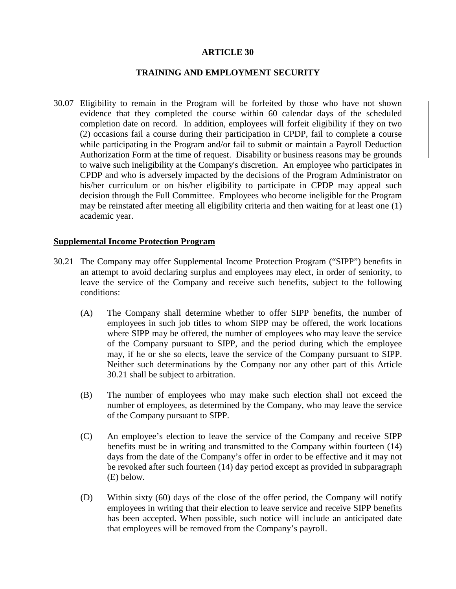#### **ARTICLE 30**

## **TRAINING AND EMPLOYMENT SECURITY**

30.07 Eligibility to remain in the Program will be forfeited by those who have not shown evidence that they completed the course within 60 calendar days of the scheduled completion date on record. In addition, employees will forfeit eligibility if they on two (2) occasions fail a course during their participation in CPDP, fail to complete a course while participating in the Program and/or fail to submit or maintain a Payroll Deduction Authorization Form at the time of request. Disability or business reasons may be grounds to waive such ineligibility at the Company's discretion. An employee who participates in CPDP and who is adversely impacted by the decisions of the Program Administrator on his/her curriculum or on his/her eligibility to participate in CPDP may appeal such decision through the Full Committee. Employees who become ineligible for the Program may be reinstated after meeting all eligibility criteria and then waiting for at least one (1) academic year.

#### **Supplemental Income Protection Program**

- 30.21 The Company may offer Supplemental Income Protection Program ("SIPP") benefits in an attempt to avoid declaring surplus and employees may elect, in order of seniority, to leave the service of the Company and receive such benefits, subject to the following conditions:
	- (A) The Company shall determine whether to offer SIPP benefits, the number of employees in such job titles to whom SIPP may be offered, the work locations where SIPP may be offered, the number of employees who may leave the service of the Company pursuant to SIPP, and the period during which the employee may, if he or she so elects, leave the service of the Company pursuant to SIPP. Neither such determinations by the Company nor any other part of this Article 30.21 shall be subject to arbitration.
	- (B) The number of employees who may make such election shall not exceed the number of employees, as determined by the Company, who may leave the service of the Company pursuant to SIPP.
	- (C) An employee's election to leave the service of the Company and receive SIPP benefits must be in writing and transmitted to the Company within fourteen (14) days from the date of the Company's offer in order to be effective and it may not be revoked after such fourteen (14) day period except as provided in subparagraph (E) below.
	- (D) Within sixty (60) days of the close of the offer period, the Company will notify employees in writing that their election to leave service and receive SIPP benefits has been accepted. When possible, such notice will include an anticipated date that employees will be removed from the Company's payroll.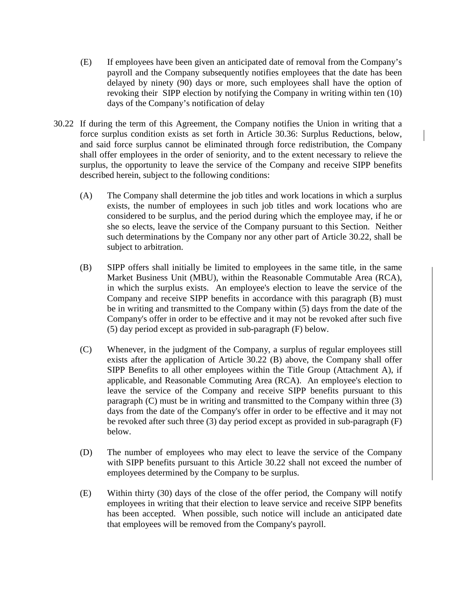- (E) If employees have been given an anticipated date of removal from the Company's payroll and the Company subsequently notifies employees that the date has been delayed by ninety (90) days or more, such employees shall have the option of revoking their SIPP election by notifying the Company in writing within ten (10) days of the Company's notification of delay
- 30.22 If during the term of this Agreement, the Company notifies the Union in writing that a force surplus condition exists as set forth in Article 30.36: Surplus Reductions, below, and said force surplus cannot be eliminated through force redistribution, the Company shall offer employees in the order of seniority, and to the extent necessary to relieve the surplus, the opportunity to leave the service of the Company and receive SIPP benefits described herein, subject to the following conditions:
	- (A) The Company shall determine the job titles and work locations in which a surplus exists, the number of employees in such job titles and work locations who are considered to be surplus, and the period during which the employee may, if he or she so elects, leave the service of the Company pursuant to this Section. Neither such determinations by the Company nor any other part of Article 30.22, shall be subject to arbitration.
	- (B) SIPP offers shall initially be limited to employees in the same title, in the same Market Business Unit (MBU), within the Reasonable Commutable Area (RCA), in which the surplus exists. An employee's election to leave the service of the Company and receive SIPP benefits in accordance with this paragraph (B) must be in writing and transmitted to the Company within (5) days from the date of the Company's offer in order to be effective and it may not be revoked after such five (5) day period except as provided in sub-paragraph (F) below.
	- (C) Whenever, in the judgment of the Company, a surplus of regular employees still exists after the application of Article 30.22 (B) above, the Company shall offer SIPP Benefits to all other employees within the Title Group (Attachment A), if applicable, and Reasonable Commuting Area (RCA). An employee's election to leave the service of the Company and receive SIPP benefits pursuant to this paragraph (C) must be in writing and transmitted to the Company within three (3) days from the date of the Company's offer in order to be effective and it may not be revoked after such three (3) day period except as provided in sub-paragraph (F) below.
	- (D) The number of employees who may elect to leave the service of the Company with SIPP benefits pursuant to this Article 30.22 shall not exceed the number of employees determined by the Company to be surplus.
	- (E) Within thirty (30) days of the close of the offer period, the Company will notify employees in writing that their election to leave service and receive SIPP benefits has been accepted. When possible, such notice will include an anticipated date that employees will be removed from the Company's payroll.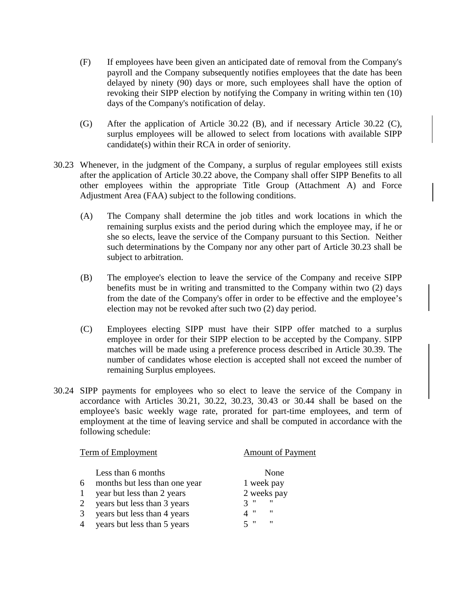- (F) If employees have been given an anticipated date of removal from the Company's payroll and the Company subsequently notifies employees that the date has been delayed by ninety (90) days or more, such employees shall have the option of revoking their SIPP election by notifying the Company in writing within ten (10) days of the Company's notification of delay.
- (G) After the application of Article 30.22 (B), and if necessary Article 30.22 (C), surplus employees will be allowed to select from locations with available SIPP candidate(s) within their RCA in order of seniority.
- 30.23 Whenever, in the judgment of the Company, a surplus of regular employees still exists after the application of Article 30.22 above, the Company shall offer SIPP Benefits to all other employees within the appropriate Title Group (Attachment A) and Force Adjustment Area (FAA) subject to the following conditions.
	- (A) The Company shall determine the job titles and work locations in which the remaining surplus exists and the period during which the employee may, if he or she so elects, leave the service of the Company pursuant to this Section. Neither such determinations by the Company nor any other part of Article 30.23 shall be subject to arbitration.
	- (B) The employee's election to leave the service of the Company and receive SIPP benefits must be in writing and transmitted to the Company within two (2) days from the date of the Company's offer in order to be effective and the employee's election may not be revoked after such two (2) day period.
	- (C) Employees electing SIPP must have their SIPP offer matched to a surplus employee in order for their SIPP election to be accepted by the Company. SIPP matches will be made using a preference process described in Article 30.39. The number of candidates whose election is accepted shall not exceed the number of remaining Surplus employees.
- 30.24 SIPP payments for employees who so elect to leave the service of the Company in accordance with Articles 30.21, 30.22, 30.23, 30.43 or 30.44 shall be based on the employee's basic weekly wage rate, prorated for part-time employees, and term of employment at the time of leaving service and shall be computed in accordance with the following schedule:

| Term of Employment |                               | <b>Amount of Payment</b>                           |  |
|--------------------|-------------------------------|----------------------------------------------------|--|
|                    | Less than 6 months            | None                                               |  |
| 6                  | months but less than one year | 1 week pay                                         |  |
|                    | year but less than 2 years    | 2 weeks pay                                        |  |
| 2                  | years but less than 3 years   | $^{\prime\prime}$<br>$\mathbf{H}$<br>$\mathcal{R}$ |  |
| 3                  | years but less than 4 years   | $^{\prime\prime}$<br>4 "                           |  |
| $\overline{4}$     | years but less than 5 years   | 5"<br>$^{\prime\prime}$                            |  |
|                    |                               |                                                    |  |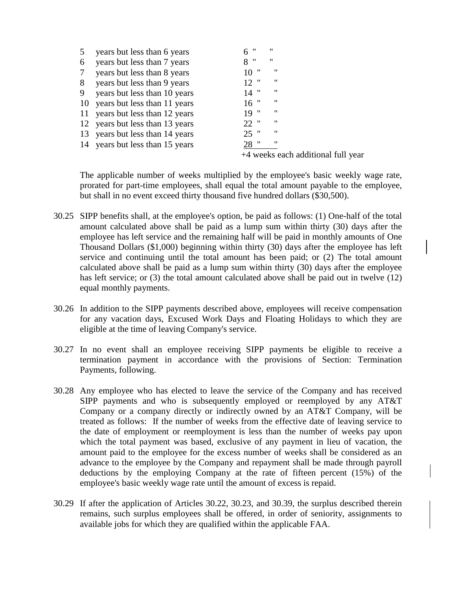| $\mathcal{L}$ | years but less than 6 years     | "<br>6 | "                                  |
|---------------|---------------------------------|--------|------------------------------------|
| 6             | years but less than 7 years     | 8"     | 11                                 |
|               | years but less than 8 years     | 10"    | "                                  |
| 8             | years but less than 9 years     | $12$ " | "                                  |
| 9             | years but less than 10 years    | $14$ " | "                                  |
|               | 10 years but less than 11 years | $16$ " | "                                  |
|               | 11 years but less than 12 years | 19"    | "                                  |
|               | 12 years but less than 13 years | $22$ " | "                                  |
|               | 13 years but less than 14 years | $25$ " | "                                  |
|               | 14 years but less than 15 years | 28 "   | "                                  |
|               |                                 |        | +4 weeks each additional full year |

The applicable number of weeks multiplied by the employee's basic weekly wage rate, prorated for part-time employees, shall equal the total amount payable to the employee, but shall in no event exceed thirty thousand five hundred dollars (\$30,500).

- 30.25 SIPP benefits shall, at the employee's option, be paid as follows: (1) One-half of the total amount calculated above shall be paid as a lump sum within thirty (30) days after the employee has left service and the remaining half will be paid in monthly amounts of One Thousand Dollars (\$1,000) beginning within thirty (30) days after the employee has left service and continuing until the total amount has been paid; or (2) The total amount calculated above shall be paid as a lump sum within thirty (30) days after the employee has left service; or (3) the total amount calculated above shall be paid out in twelve (12) equal monthly payments.
- 30.26 In addition to the SIPP payments described above, employees will receive compensation for any vacation days, Excused Work Days and Floating Holidays to which they are eligible at the time of leaving Company's service.
- 30.27 In no event shall an employee receiving SIPP payments be eligible to receive a termination payment in accordance with the provisions of Section: Termination Payments, following.
- 30.28 Any employee who has elected to leave the service of the Company and has received SIPP payments and who is subsequently employed or reemployed by any AT&T Company or a company directly or indirectly owned by an AT&T Company, will be treated as follows: If the number of weeks from the effective date of leaving service to the date of employment or reemployment is less than the number of weeks pay upon which the total payment was based, exclusive of any payment in lieu of vacation, the amount paid to the employee for the excess number of weeks shall be considered as an advance to the employee by the Company and repayment shall be made through payroll deductions by the employing Company at the rate of fifteen percent (15%) of the employee's basic weekly wage rate until the amount of excess is repaid.
- 30.29 If after the application of Articles 30.22, 30.23, and 30.39, the surplus described therein remains, such surplus employees shall be offered, in order of seniority, assignments to available jobs for which they are qualified within the applicable FAA.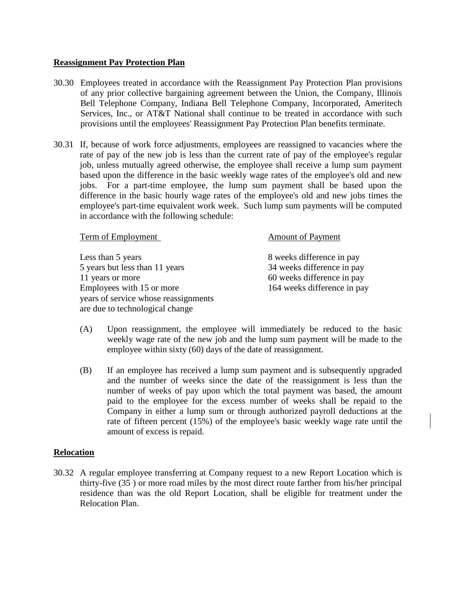#### **Reassignment Pay Protection Plan**

- 30.30 Employees treated in accordance with the Reassignment Pay Protection Plan provisions of any prior collective bargaining agreement between the Union, the Company, Illinois Bell Telephone Company, Indiana Bell Telephone Company, Incorporated, Ameritech Services, Inc., or AT&T National shall continue to be treated in accordance with such provisions until the employees' Reassignment Pay Protection Plan benefits terminate.
- 30.31 If, because of work force adjustments, employees are reassigned to vacancies where the rate of pay of the new job is less than the current rate of pay of the employee's regular job, unless mutually agreed otherwise, the employee shall receive a lump sum payment based upon the difference in the basic weekly wage rates of the employee's old and new jobs. For a part-time employee, the lump sum payment shall be based upon the difference in the basic hourly wage rates of the employee's old and new jobs times the employee's part-time equivalent work week. Such lump sum payments will be computed in accordance with the following schedule:

Term of Employment Amount of Payment

Less than 5 years 8 weeks difference in pay 5 years but less than 11 years 34 weeks difference in pay 11 years or more 60 weeks difference in pay Employees with 15 or more 164 weeks difference in pay years of service whose reassignments are due to technological change

- (A) Upon reassignment, the employee will immediately be reduced to the basic weekly wage rate of the new job and the lump sum payment will be made to the employee within sixty (60) days of the date of reassignment.
- (B) If an employee has received a lump sum payment and is subsequently upgraded and the number of weeks since the date of the reassignment is less than the number of weeks of pay upon which the total payment was based, the amount paid to the employee for the excess number of weeks shall be repaid to the Company in either a lump sum or through authorized payroll deductions at the rate of fifteen percent (15%) of the employee's basic weekly wage rate until the amount of excess is repaid.

## **Relocation**

30.32 A regular employee transferring at Company request to a new Report Location which is thirty-five (35 ) or more road miles by the most direct route farther from his/her principal residence than was the old Report Location, shall be eligible for treatment under the Relocation Plan.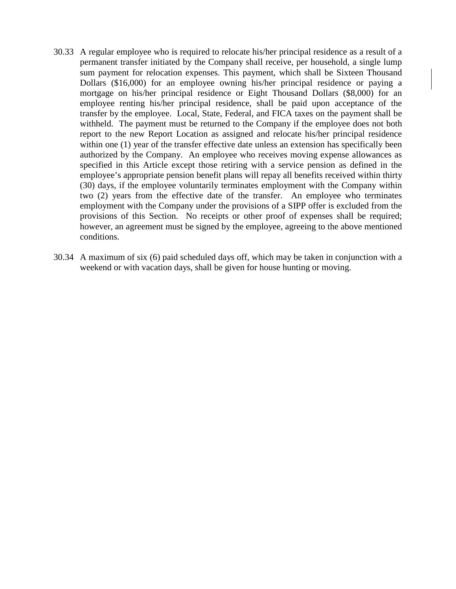- 30.33 A regular employee who is required to relocate his/her principal residence as a result of a permanent transfer initiated by the Company shall receive, per household, a single lump sum payment for relocation expenses. This payment, which shall be Sixteen Thousand Dollars (\$16,000) for an employee owning his/her principal residence or paying a mortgage on his/her principal residence or Eight Thousand Dollars (\$8,000) for an employee renting his/her principal residence, shall be paid upon acceptance of the transfer by the employee. Local, State, Federal, and FICA taxes on the payment shall be withheld. The payment must be returned to the Company if the employee does not both report to the new Report Location as assigned and relocate his/her principal residence within one (1) year of the transfer effective date unless an extension has specifically been authorized by the Company. An employee who receives moving expense allowances as specified in this Article except those retiring with a service pension as defined in the employee's appropriate pension benefit plans will repay all benefits received within thirty (30) days, if the employee voluntarily terminates employment with the Company within two (2) years from the effective date of the transfer. An employee who terminates employment with the Company under the provisions of a SIPP offer is excluded from the provisions of this Section. No receipts or other proof of expenses shall be required; however, an agreement must be signed by the employee, agreeing to the above mentioned conditions.
- 30.34 A maximum of six (6) paid scheduled days off, which may be taken in conjunction with a weekend or with vacation days, shall be given for house hunting or moving.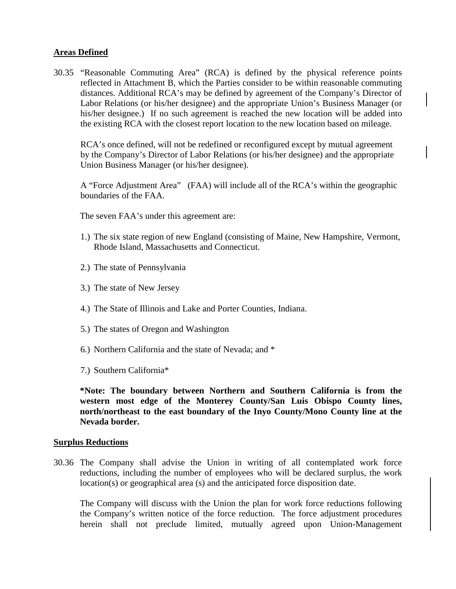# **Areas Defined**

30.35 "Reasonable Commuting Area" (RCA) is defined by the physical reference points reflected in Attachment B, which the Parties consider to be within reasonable commuting distances. Additional RCA's may be defined by agreement of the Company's Director of Labor Relations (or his/her designee) and the appropriate Union's Business Manager (or his/her designee.) If no such agreement is reached the new location will be added into the existing RCA with the closest report location to the new location based on mileage.

RCA's once defined, will not be redefined or reconfigured except by mutual agreement by the Company's Director of Labor Relations (or his/her designee) and the appropriate Union Business Manager (or his/her designee).

A "Force Adjustment Area" (FAA) will include all of the RCA's within the geographic boundaries of the FAA.

The seven FAA's under this agreement are:

- 1.) The six state region of new England (consisting of Maine, New Hampshire, Vermont, Rhode Island, Massachusetts and Connecticut.
- 2.) The state of Pennsylvania
- 3.) The state of New Jersey
- 4.) The State of Illinois and Lake and Porter Counties, Indiana.
- 5.) The states of Oregon and Washington
- 6.) Northern California and the state of Nevada; and \*
- 7.) Southern California\*

**\*Note: The boundary between Northern and Southern California is from the western most edge of the Monterey County/San Luis Obispo County lines, north/northeast to the east boundary of the Inyo County/Mono County line at the Nevada border.**

## **Surplus Reductions**

30.36 The Company shall advise the Union in writing of all contemplated work force reductions, including the number of employees who will be declared surplus, the work location(s) or geographical area (s) and the anticipated force disposition date.

The Company will discuss with the Union the plan for work force reductions following the Company's written notice of the force reduction. The force adjustment procedures herein shall not preclude limited, mutually agreed upon Union-Management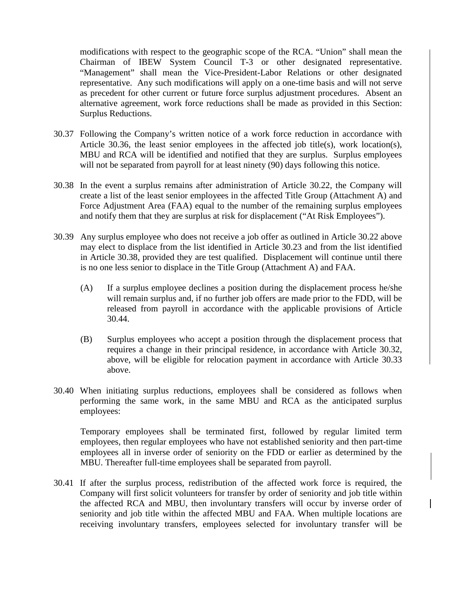modifications with respect to the geographic scope of the RCA. "Union" shall mean the Chairman of IBEW System Council T-3 or other designated representative. "Management" shall mean the Vice-President-Labor Relations or other designated representative. Any such modifications will apply on a one-time basis and will not serve as precedent for other current or future force surplus adjustment procedures. Absent an alternative agreement, work force reductions shall be made as provided in this Section: Surplus Reductions.

- 30.37 Following the Company's written notice of a work force reduction in accordance with Article 30.36, the least senior employees in the affected job title(s), work location(s), MBU and RCA will be identified and notified that they are surplus. Surplus employees will not be separated from payroll for at least ninety (90) days following this notice.
- 30.38 In the event a surplus remains after administration of Article 30.22, the Company will create a list of the least senior employees in the affected Title Group (Attachment A) and Force Adjustment Area (FAA) equal to the number of the remaining surplus employees and notify them that they are surplus at risk for displacement ("At Risk Employees").
- 30.39 Any surplus employee who does not receive a job offer as outlined in Article 30.22 above may elect to displace from the list identified in Article 30.23 and from the list identified in Article 30.38, provided they are test qualified. Displacement will continue until there is no one less senior to displace in the Title Group (Attachment A) and FAA.
	- (A) If a surplus employee declines a position during the displacement process he/she will remain surplus and, if no further job offers are made prior to the FDD, will be released from payroll in accordance with the applicable provisions of Article 30.44.
	- (B) Surplus employees who accept a position through the displacement process that requires a change in their principal residence, in accordance with Article 30.32, above, will be eligible for relocation payment in accordance with Article 30.33 above.
- 30.40 When initiating surplus reductions, employees shall be considered as follows when performing the same work, in the same MBU and RCA as the anticipated surplus employees:

Temporary employees shall be terminated first, followed by regular limited term employees, then regular employees who have not established seniority and then part-time employees all in inverse order of seniority on the FDD or earlier as determined by the MBU. Thereafter full-time employees shall be separated from payroll.

30.41 If after the surplus process, redistribution of the affected work force is required, the Company will first solicit volunteers for transfer by order of seniority and job title within the affected RCA and MBU, then involuntary transfers will occur by inverse order of seniority and job title within the affected MBU and FAA. When multiple locations are receiving involuntary transfers, employees selected for involuntary transfer will be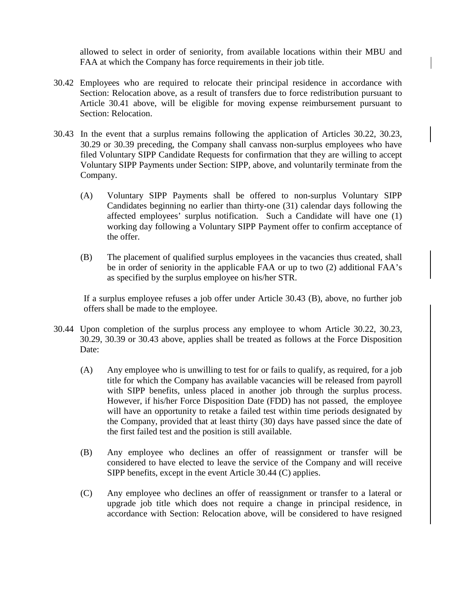allowed to select in order of seniority, from available locations within their MBU and FAA at which the Company has force requirements in their job title.

- 30.42 Employees who are required to relocate their principal residence in accordance with Section: Relocation above, as a result of transfers due to force redistribution pursuant to Article 30.41 above, will be eligible for moving expense reimbursement pursuant to Section: Relocation.
- 30.43 In the event that a surplus remains following the application of Articles 30.22, 30.23, 30.29 or 30.39 preceding, the Company shall canvass non-surplus employees who have filed Voluntary SIPP Candidate Requests for confirmation that they are willing to accept Voluntary SIPP Payments under Section: SIPP, above, and voluntarily terminate from the Company.
	- (A) Voluntary SIPP Payments shall be offered to non-surplus Voluntary SIPP Candidates beginning no earlier than thirty-one (31) calendar days following the affected employees' surplus notification. Such a Candidate will have one (1) working day following a Voluntary SIPP Payment offer to confirm acceptance of the offer.
	- (B) The placement of qualified surplus employees in the vacancies thus created, shall be in order of seniority in the applicable FAA or up to two (2) additional FAA's as specified by the surplus employee on his/her STR.

If a surplus employee refuses a job offer under Article 30.43 (B), above, no further job offers shall be made to the employee.

- 30.44 Upon completion of the surplus process any employee to whom Article 30.22, 30.23, 30.29, 30.39 or 30.43 above, applies shall be treated as follows at the Force Disposition Date:
	- (A) Any employee who is unwilling to test for or fails to qualify, as required, for a job title for which the Company has available vacancies will be released from payroll with SIPP benefits, unless placed in another job through the surplus process. However, if his/her Force Disposition Date (FDD) has not passed, the employee will have an opportunity to retake a failed test within time periods designated by the Company, provided that at least thirty (30) days have passed since the date of the first failed test and the position is still available.
	- (B) Any employee who declines an offer of reassignment or transfer will be considered to have elected to leave the service of the Company and will receive SIPP benefits, except in the event Article 30.44 (C) applies.
	- (C) Any employee who declines an offer of reassignment or transfer to a lateral or upgrade job title which does not require a change in principal residence, in accordance with Section: Relocation above, will be considered to have resigned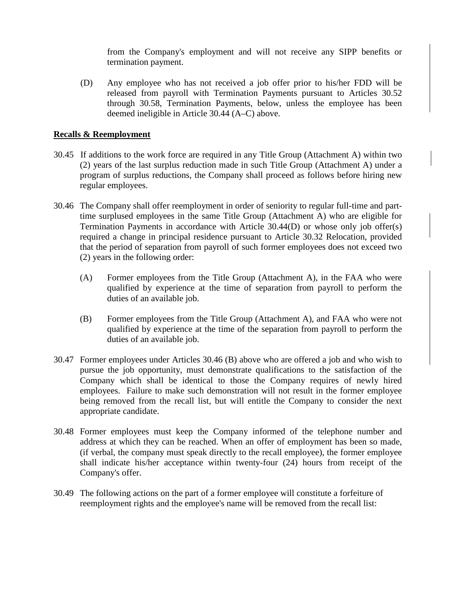from the Company's employment and will not receive any SIPP benefits or termination payment.

(D) Any employee who has not received a job offer prior to his/her FDD will be released from payroll with Termination Payments pursuant to Articles 30.52 through 30.58, Termination Payments, below, unless the employee has been deemed ineligible in Article 30.44 (A–C) above.

# **Recalls & Reemployment**

- 30.45 If additions to the work force are required in any Title Group (Attachment A) within two (2) years of the last surplus reduction made in such Title Group (Attachment A) under a program of surplus reductions, the Company shall proceed as follows before hiring new regular employees.
- 30.46 The Company shall offer reemployment in order of seniority to regular full-time and parttime surplused employees in the same Title Group (Attachment A) who are eligible for Termination Payments in accordance with Article 30.44(D) or whose only job offer(s) required a change in principal residence pursuant to Article 30.32 Relocation, provided that the period of separation from payroll of such former employees does not exceed two (2) years in the following order:
	- (A) Former employees from the Title Group (Attachment A), in the FAA who were qualified by experience at the time of separation from payroll to perform the duties of an available job.
	- (B) Former employees from the Title Group (Attachment A), and FAA who were not qualified by experience at the time of the separation from payroll to perform the duties of an available job.
- 30.47 Former employees under Articles 30.46 (B) above who are offered a job and who wish to pursue the job opportunity, must demonstrate qualifications to the satisfaction of the Company which shall be identical to those the Company requires of newly hired employees. Failure to make such demonstration will not result in the former employee being removed from the recall list, but will entitle the Company to consider the next appropriate candidate.
- 30.48 Former employees must keep the Company informed of the telephone number and address at which they can be reached. When an offer of employment has been so made, (if verbal, the company must speak directly to the recall employee), the former employee shall indicate his/her acceptance within twenty-four (24) hours from receipt of the Company's offer.
- 30.49 The following actions on the part of a former employee will constitute a forfeiture of reemployment rights and the employee's name will be removed from the recall list: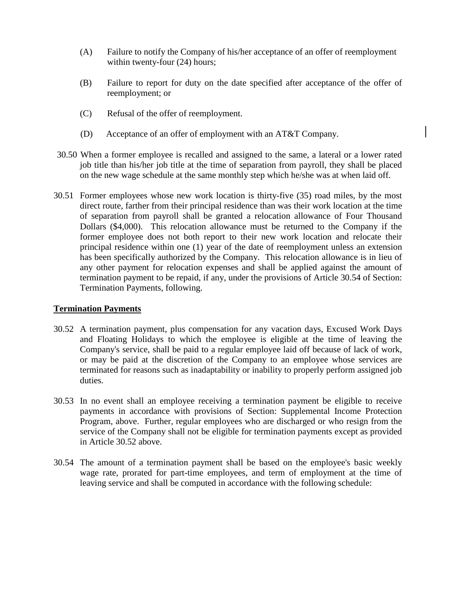- (A) Failure to notify the Company of his/her acceptance of an offer of reemployment within twenty-four  $(24)$  hours;
- (B) Failure to report for duty on the date specified after acceptance of the offer of reemployment; or
- (C) Refusal of the offer of reemployment.
- (D) Acceptance of an offer of employment with an AT&T Company.
- 30.50 When a former employee is recalled and assigned to the same, a lateral or a lower rated job title than his/her job title at the time of separation from payroll, they shall be placed on the new wage schedule at the same monthly step which he/she was at when laid off.
- 30.51 Former employees whose new work location is thirty-five (35) road miles, by the most direct route, farther from their principal residence than was their work location at the time of separation from payroll shall be granted a relocation allowance of Four Thousand Dollars (\$4,000). This relocation allowance must be returned to the Company if the former employee does not both report to their new work location and relocate their principal residence within one (1) year of the date of reemployment unless an extension has been specifically authorized by the Company. This relocation allowance is in lieu of any other payment for relocation expenses and shall be applied against the amount of termination payment to be repaid, if any, under the provisions of Article 30.54 of Section: Termination Payments, following.

## **Termination Payments**

- 30.52 A termination payment, plus compensation for any vacation days, Excused Work Days and Floating Holidays to which the employee is eligible at the time of leaving the Company's service, shall be paid to a regular employee laid off because of lack of work, or may be paid at the discretion of the Company to an employee whose services are terminated for reasons such as inadaptability or inability to properly perform assigned job duties.
- 30.53 In no event shall an employee receiving a termination payment be eligible to receive payments in accordance with provisions of Section: Supplemental Income Protection Program, above. Further, regular employees who are discharged or who resign from the service of the Company shall not be eligible for termination payments except as provided in Article 30.52 above.
- 30.54 The amount of a termination payment shall be based on the employee's basic weekly wage rate, prorated for part-time employees, and term of employment at the time of leaving service and shall be computed in accordance with the following schedule: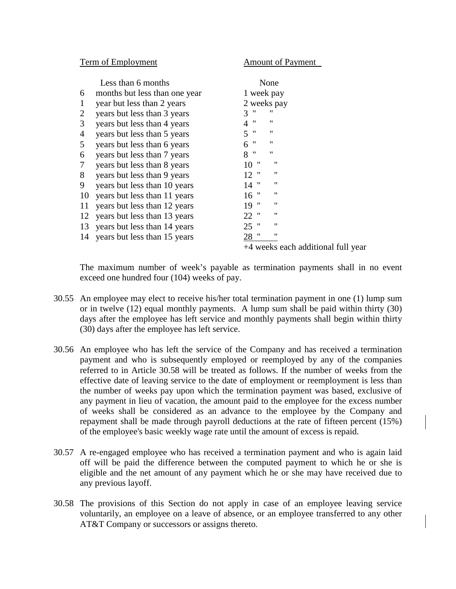Term of Employment Amount of Payment

|                | Less than 6 months              | None                               |  |
|----------------|---------------------------------|------------------------------------|--|
| 6              | months but less than one year   | 1 week pay                         |  |
| 1              | year but less than 2 years      | 2 weeks pay                        |  |
| $\overline{2}$ | years but less than 3 years     | $^{\prime\prime}$<br>"<br>3        |  |
| 3              | years but less than 4 years     | "<br>$^{\prime\prime}$<br>4        |  |
| 4              | years but less than 5 years     | $\mathbf{H}$<br>"<br>5             |  |
| 5              | years but less than 6 years     | $\mathbf{H}$<br>"<br>6             |  |
| 6              | years but less than 7 years     | 8"<br>"                            |  |
| 7              | years but less than 8 years     | "<br>$^{\prime\prime}$<br>10       |  |
| 8              | years but less than 9 years     | 11<br>$12$ "                       |  |
| 9              | years but less than 10 years    | 11<br>$14$ "                       |  |
| 10             | years but less than 11 years    | "<br>$16$ "                        |  |
| 11             | years but less than 12 years    | 11<br>19"                          |  |
| 12             | years but less than 13 years    | 11<br>$22$ "                       |  |
|                | 13 years but less than 14 years | 11<br>$25$ "                       |  |
|                | 14 years but less than 15 years | 28 "<br>"                          |  |
|                |                                 | +4 weeks each additional full year |  |

The maximum number of week's payable as termination payments shall in no event exceed one hundred four (104) weeks of pay.

- 30.55 An employee may elect to receive his/her total termination payment in one (1) lump sum or in twelve (12) equal monthly payments. A lump sum shall be paid within thirty (30) days after the employee has left service and monthly payments shall begin within thirty (30) days after the employee has left service.
- 30.56 An employee who has left the service of the Company and has received a termination payment and who is subsequently employed or reemployed by any of the companies referred to in Article 30.58 will be treated as follows. If the number of weeks from the effective date of leaving service to the date of employment or reemployment is less than the number of weeks pay upon which the termination payment was based, exclusive of any payment in lieu of vacation, the amount paid to the employee for the excess number of weeks shall be considered as an advance to the employee by the Company and repayment shall be made through payroll deductions at the rate of fifteen percent (15%) of the employee's basic weekly wage rate until the amount of excess is repaid.
- 30.57 A re-engaged employee who has received a termination payment and who is again laid off will be paid the difference between the computed payment to which he or she is eligible and the net amount of any payment which he or she may have received due to any previous layoff.
- 30.58 The provisions of this Section do not apply in case of an employee leaving service voluntarily, an employee on a leave of absence, or an employee transferred to any other AT&T Company or successors or assigns thereto.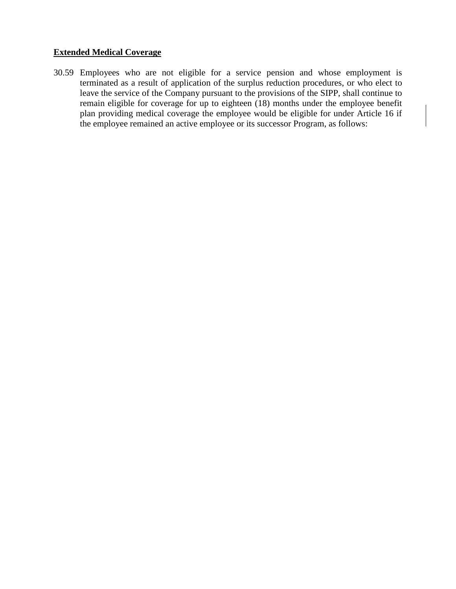# **Extended Medical Coverage**

30.59 Employees who are not eligible for a service pension and whose employment is terminated as a result of application of the surplus reduction procedures, or who elect to leave the service of the Company pursuant to the provisions of the SIPP, shall continue to remain eligible for coverage for up to eighteen (18) months under the employee benefit plan providing medical coverage the employee would be eligible for under Article 16 if the employee remained an active employee or its successor Program, as follows: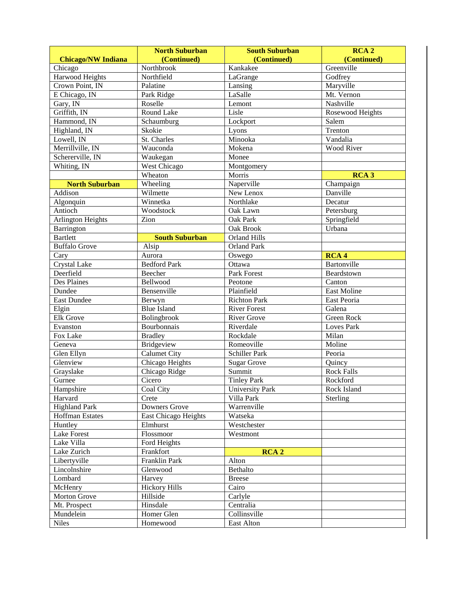|                           | <b>North Suburban</b>       | <b>South Suburban</b>  | RCA <sub>2</sub>  |
|---------------------------|-----------------------------|------------------------|-------------------|
| <b>Chicago/NW Indiana</b> | (Continued)                 | (Continued)            | (Continued)       |
| Chicago                   | Northbrook                  | Kankakee               | Greenville        |
| <b>Harwood Heights</b>    | Northfield                  | LaGrange               | Godfrey           |
| Crown Point, IN           | Palatine                    | Lansing                | Maryville         |
| E Chicago, IN             | Park Ridge                  | LaSalle                | Mt. Vernon        |
| Gary, IN                  | Roselle                     | Lemont                 | Nashville         |
| Griffith, IN              | <b>Round Lake</b>           | Lisle                  | Rosewood Heights  |
| Hammond, IN               | Schaumburg                  | Lockport               | Salem             |
| Highland, IN              | Skokie                      | Lyons                  | Trenton           |
| Lowell, IN                | St. Charles                 | Minooka                | Vandalia          |
| Merrillville, IN          | Wauconda                    | Mokena                 | <b>Wood River</b> |
| Schererville, IN          | Waukegan                    | Monee                  |                   |
| Whiting, IN               | West Chicago                | Montgomery             |                   |
|                           | Wheaton                     | Morris                 | RCA <sub>3</sub>  |
| <b>North Suburban</b>     | Wheeling                    | Naperville             | Champaign         |
| Addison                   | Wilmette                    | New Lenox              | Danville          |
| Algonquin                 | Winnetka                    | Northlake              | Decatur           |
| Antioch                   | Woodstock                   | Oak Lawn               | Petersburg        |
| <b>Arlington Heights</b>  | Zion                        | Oak Park               | Springfield       |
| Barrington                |                             | Oak Brook              | Urbana            |
| <b>Bartlett</b>           | <b>South Suburban</b>       | <b>Orland Hills</b>    |                   |
| <b>Buffalo Grove</b>      | Alsip                       | <b>Orland Park</b>     |                   |
| Cary                      | Aurora                      | Oswego                 | RCA <sub>4</sub>  |
| <b>Crystal Lake</b>       | <b>Bedford Park</b>         | Ottawa                 | Bartonville       |
| Deerfield                 | Beecher                     | Park Forest            | Beardstown        |
| <b>Des Plaines</b>        | Bellwood                    | Peotone                | Canton            |
| Dundee                    | Bensenville                 | Plainfield             | East Moline       |
| <b>East Dundee</b>        | Berwyn                      | <b>Richton Park</b>    | East Peoria       |
| Elgin                     | <b>Blue Island</b>          | <b>River Forest</b>    | Galena            |
| <b>Elk Grove</b>          | Bolingbrook                 | <b>River Grove</b>     | Green Rock        |
| Evanston                  | Bourbonnais                 | Riverdale              | Loves Park        |
| Fox Lake                  | <b>Bradley</b>              | Rockdale               | Milan             |
| Geneva                    | <b>Bridgeview</b>           | Romeoville             | Moline            |
| Glen Ellyn                | <b>Calumet City</b>         | <b>Schiller Park</b>   | Peoria            |
| Glenview                  | Chicago Heights             | <b>Sugar Grove</b>     | Quincy            |
| Grayslake                 | Chicago Ridge               | Summit                 | <b>Rock Falls</b> |
| Gurnee                    | Cicero                      | <b>Tinley Park</b>     | Rockford          |
| Hampshire                 | Coal City                   | <b>University Park</b> | Rock Island       |
| Harvard                   | Crete                       | Villa Park             | Sterling          |
| <b>Highland Park</b>      | Downers Grove               | Warrenville            |                   |
| <b>Hoffman Estates</b>    | <b>East Chicago Heights</b> | Watseka                |                   |
| Huntley                   | Elmhurst                    | Westchester            |                   |
| Lake Forest               | Flossmoor                   | Westmont               |                   |
| Lake Villa                | Ford Heights                |                        |                   |
| Lake Zurich               | Frankfort                   | <b>RCA2</b>            |                   |
| Libertyville              | Franklin Park               | Alton                  |                   |
| Lincolnshire              | Glenwood                    | Bethalto               |                   |
| Lombard                   | Harvey                      | <b>Breese</b>          |                   |
| McHenry                   | <b>Hickory Hills</b>        | Cairo                  |                   |
| Morton Grove              | Hillside                    | Carlyle                |                   |
| Mt. Prospect              | Hinsdale                    | Centralia              |                   |
| Mundelein                 | Homer Glen                  | Collinsville           |                   |
| <b>Niles</b>              | Homewood                    | East Alton             |                   |